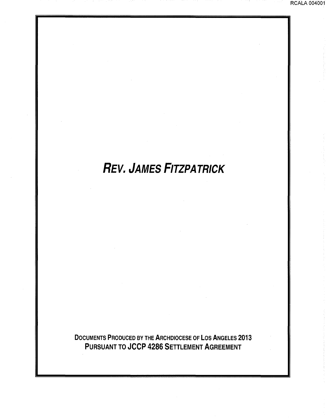## REV. JAMES FITZPATRICK

DOCUMENTS PRODUCED BY THE ARCHDIOCESE OF LOS ANGELES 2013 PURSUANT TO JCCP 4286 SETTLEMENT AGREEMENT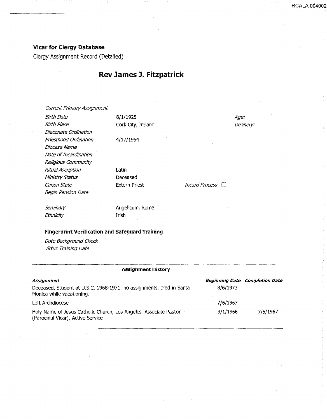## Vicar for Clergy Database

Clergy Assignment Record (Detailed)

## Rev James J. Fitzpatrick

**RCALA 00400** 

| <b>Current Primary Assignment</b>                      |                      |                |          |  |  |
|--------------------------------------------------------|----------------------|----------------|----------|--|--|
| Birth Date                                             | 8/1/1925             |                | Age:     |  |  |
| <b>Birth Place</b>                                     | Cork City, Ireland   |                | Deanery: |  |  |
| Diaconate Ordination                                   |                      |                |          |  |  |
| Priesthood Ordination                                  | 4/17/1954            |                |          |  |  |
| Diocese Name                                           |                      |                |          |  |  |
| Date of Incardination                                  |                      |                |          |  |  |
| Religious Community                                    |                      |                |          |  |  |
| Ritual Ascription                                      | Latin                |                |          |  |  |
| Ministry Status                                        | Deceased             |                |          |  |  |
| Canon State                                            | <b>Extern Priest</b> | Incard Process |          |  |  |
| <b>Begin Pension Date</b>                              |                      |                |          |  |  |
| Seminary                                               | Angelicum, Rome      |                |          |  |  |
| Ethnicity                                              | <b>Irish</b>         |                |          |  |  |
| <b>Fingerprint Verification and Safeguard Training</b> |                      |                |          |  |  |
| Date Background Check                                  |                      |                |          |  |  |
| Virtus Training Date                                   |                      |                |          |  |  |
|                                                        |                      |                |          |  |  |
| <b>Assignment History</b>                              |                      |                |          |  |  |

| Assignment                                                                                            |          | <b>Beginning Date Completion Date</b> |
|-------------------------------------------------------------------------------------------------------|----------|---------------------------------------|
| Deceased, Student at U.S.C. 1968-1971, no assignments. Died in Santa<br>Monica while vacationing.     | 8/6/1973 |                                       |
| Left Archdiocese                                                                                      | 7/6/1967 |                                       |
| Holy Name of Jesus Catholic Church, Los Angeles Associate Pastor<br>(Parochial Vicar), Active Service | 3/1/1966 | 7/5/1967                              |